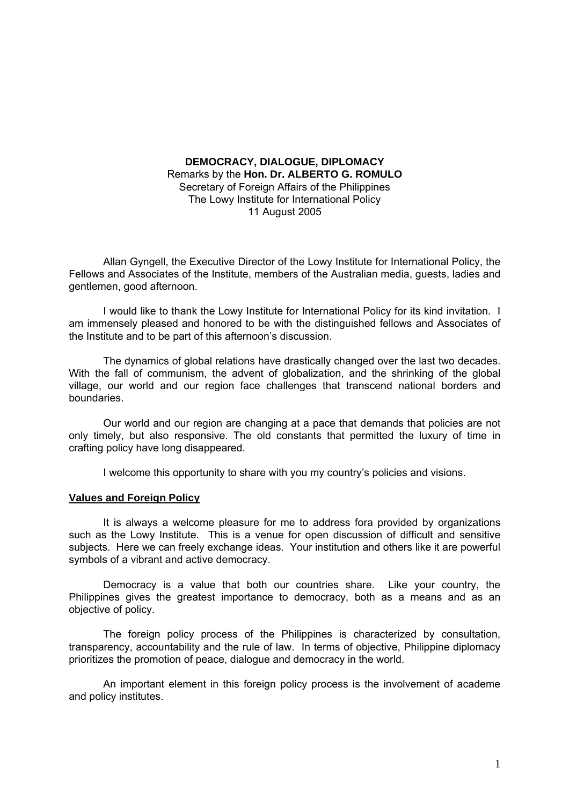# **DEMOCRACY, DIALOGUE, DIPLOMACY**  Remarks by the **Hon. Dr. ALBERTO G. ROMULO** Secretary of Foreign Affairs of the Philippines The Lowy Institute for International Policy 11 August 2005

Allan Gyngell, the Executive Director of the Lowy Institute for International Policy, the Fellows and Associates of the Institute, members of the Australian media, guests, ladies and gentlemen, good afternoon.

I would like to thank the Lowy Institute for International Policy for its kind invitation. I am immensely pleased and honored to be with the distinguished fellows and Associates of the Institute and to be part of this afternoon's discussion.

The dynamics of global relations have drastically changed over the last two decades. With the fall of communism, the advent of globalization, and the shrinking of the global village, our world and our region face challenges that transcend national borders and boundaries.

Our world and our region are changing at a pace that demands that policies are not only timely, but also responsive. The old constants that permitted the luxury of time in crafting policy have long disappeared.

I welcome this opportunity to share with you my country's policies and visions.

## **Values and Foreign Policy**

It is always a welcome pleasure for me to address fora provided by organizations such as the Lowy Institute. This is a venue for open discussion of difficult and sensitive subjects. Here we can freely exchange ideas. Your institution and others like it are powerful symbols of a vibrant and active democracy.

Democracy is a value that both our countries share. Like your country, the Philippines gives the greatest importance to democracy, both as a means and as an objective of policy.

The foreign policy process of the Philippines is characterized by consultation, transparency, accountability and the rule of law. In terms of objective, Philippine diplomacy prioritizes the promotion of peace, dialogue and democracy in the world.

An important element in this foreign policy process is the involvement of academe and policy institutes.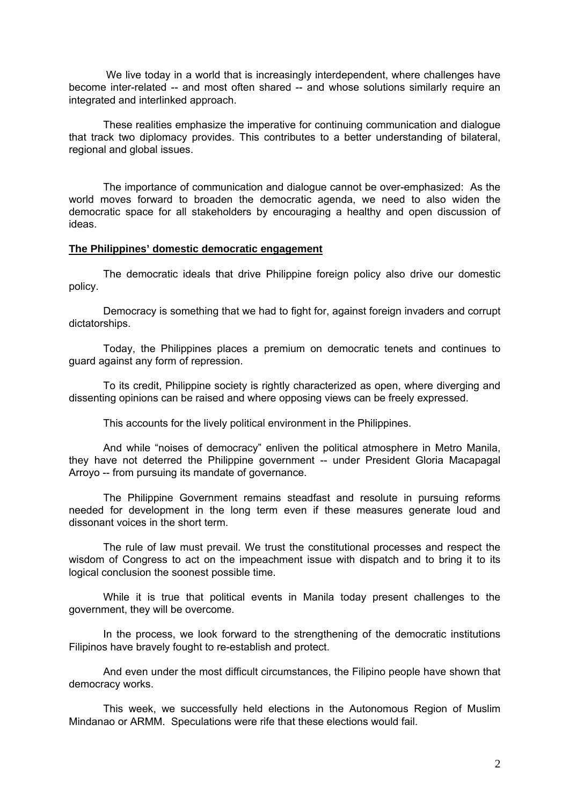We live today in a world that is increasingly interdependent, where challenges have become inter-related -- and most often shared -- and whose solutions similarly require an integrated and interlinked approach.

These realities emphasize the imperative for continuing communication and dialogue that track two diplomacy provides. This contributes to a better understanding of bilateral, regional and global issues.

The importance of communication and dialogue cannot be over-emphasized: As the world moves forward to broaden the democratic agenda, we need to also widen the democratic space for all stakeholders by encouraging a healthy and open discussion of ideas.

### **The Philippines' domestic democratic engagement**

The democratic ideals that drive Philippine foreign policy also drive our domestic policy.

Democracy is something that we had to fight for, against foreign invaders and corrupt dictatorships.

Today, the Philippines places a premium on democratic tenets and continues to guard against any form of repression.

To its credit, Philippine society is rightly characterized as open, where diverging and dissenting opinions can be raised and where opposing views can be freely expressed.

This accounts for the lively political environment in the Philippines.

And while "noises of democracy" enliven the political atmosphere in Metro Manila, they have not deterred the Philippine government -- under President Gloria Macapagal Arroyo -- from pursuing its mandate of governance.

The Philippine Government remains steadfast and resolute in pursuing reforms needed for development in the long term even if these measures generate loud and dissonant voices in the short term.

The rule of law must prevail. We trust the constitutional processes and respect the wisdom of Congress to act on the impeachment issue with dispatch and to bring it to its logical conclusion the soonest possible time.

While it is true that political events in Manila today present challenges to the government, they will be overcome.

In the process, we look forward to the strengthening of the democratic institutions Filipinos have bravely fought to re-establish and protect.

And even under the most difficult circumstances, the Filipino people have shown that democracy works.

This week, we successfully held elections in the Autonomous Region of Muslim Mindanao or ARMM. Speculations were rife that these elections would fail.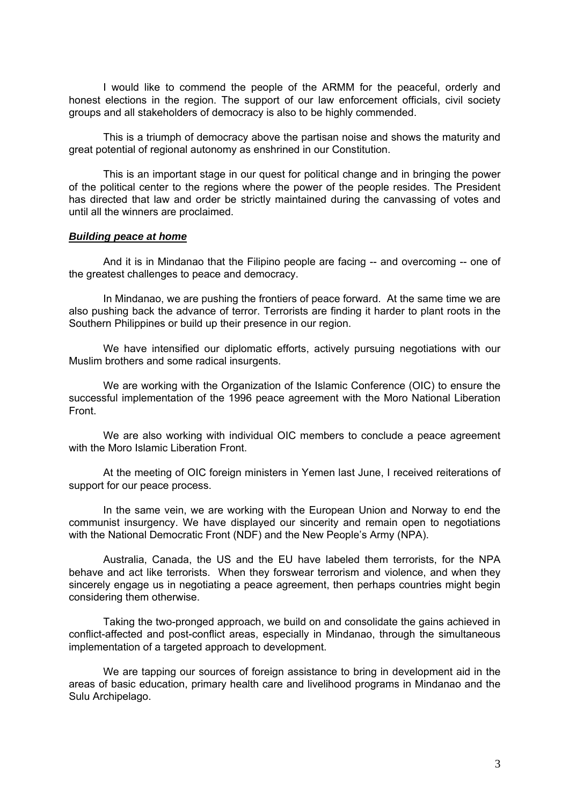I would like to commend the people of the ARMM for the peaceful, orderly and honest elections in the region. The support of our law enforcement officials, civil society groups and all stakeholders of democracy is also to be highly commended.

This is a triumph of democracy above the partisan noise and shows the maturity and great potential of regional autonomy as enshrined in our Constitution.

This is an important stage in our quest for political change and in bringing the power of the political center to the regions where the power of the people resides. The President has directed that law and order be strictly maintained during the canvassing of votes and until all the winners are proclaimed.

### *Building peace at home*

And it is in Mindanao that the Filipino people are facing -- and overcoming -- one of the greatest challenges to peace and democracy.

In Mindanao, we are pushing the frontiers of peace forward. At the same time we are also pushing back the advance of terror. Terrorists are finding it harder to plant roots in the Southern Philippines or build up their presence in our region.

We have intensified our diplomatic efforts, actively pursuing negotiations with our Muslim brothers and some radical insurgents.

We are working with the Organization of the Islamic Conference (OIC) to ensure the successful implementation of the 1996 peace agreement with the Moro National Liberation Front.

We are also working with individual OIC members to conclude a peace agreement with the Moro Islamic Liberation Front

At the meeting of OIC foreign ministers in Yemen last June, I received reiterations of support for our peace process.

In the same vein, we are working with the European Union and Norway to end the communist insurgency. We have displayed our sincerity and remain open to negotiations with the National Democratic Front (NDF) and the New People's Army (NPA).

Australia, Canada, the US and the EU have labeled them terrorists, for the NPA behave and act like terrorists. When they forswear terrorism and violence, and when they sincerely engage us in negotiating a peace agreement, then perhaps countries might begin considering them otherwise.

Taking the two-pronged approach, we build on and consolidate the gains achieved in conflict-affected and post-conflict areas, especially in Mindanao, through the simultaneous implementation of a targeted approach to development.

We are tapping our sources of foreign assistance to bring in development aid in the areas of basic education, primary health care and livelihood programs in Mindanao and the Sulu Archipelago.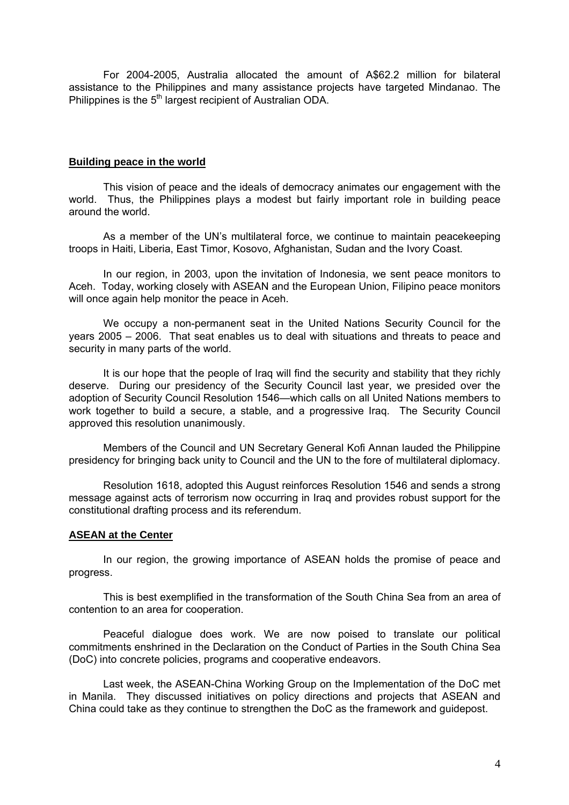For 2004-2005, Australia allocated the amount of A\$62.2 million for bilateral assistance to the Philippines and many assistance projects have targeted Mindanao. The Philippines is the 5<sup>th</sup> largest recipient of Australian ODA.

## **Building peace in the world**

This vision of peace and the ideals of democracy animates our engagement with the world. Thus, the Philippines plays a modest but fairly important role in building peace around the world.

As a member of the UN's multilateral force, we continue to maintain peacekeeping troops in Haiti, Liberia, East Timor, Kosovo, Afghanistan, Sudan and the Ivory Coast.

In our region, in 2003, upon the invitation of Indonesia, we sent peace monitors to Aceh. Today, working closely with ASEAN and the European Union, Filipino peace monitors will once again help monitor the peace in Aceh.

We occupy a non-permanent seat in the United Nations Security Council for the years 2005 – 2006. That seat enables us to deal with situations and threats to peace and security in many parts of the world.

It is our hope that the people of Iraq will find the security and stability that they richly deserve. During our presidency of the Security Council last year, we presided over the adoption of Security Council Resolution 1546—which calls on all United Nations members to work together to build a secure, a stable, and a progressive Iraq. The Security Council approved this resolution unanimously.

Members of the Council and UN Secretary General Kofi Annan lauded the Philippine presidency for bringing back unity to Council and the UN to the fore of multilateral diplomacy.

Resolution 1618, adopted this August reinforces Resolution 1546 and sends a strong message against acts of terrorism now occurring in Iraq and provides robust support for the constitutional drafting process and its referendum.

## **ASEAN at the Center**

In our region, the growing importance of ASEAN holds the promise of peace and progress.

This is best exemplified in the transformation of the South China Sea from an area of contention to an area for cooperation.

Peaceful dialogue does work. We are now poised to translate our political commitments enshrined in the Declaration on the Conduct of Parties in the South China Sea (DoC) into concrete policies, programs and cooperative endeavors.

Last week, the ASEAN-China Working Group on the Implementation of the DoC met in Manila. They discussed initiatives on policy directions and projects that ASEAN and China could take as they continue to strengthen the DoC as the framework and guidepost.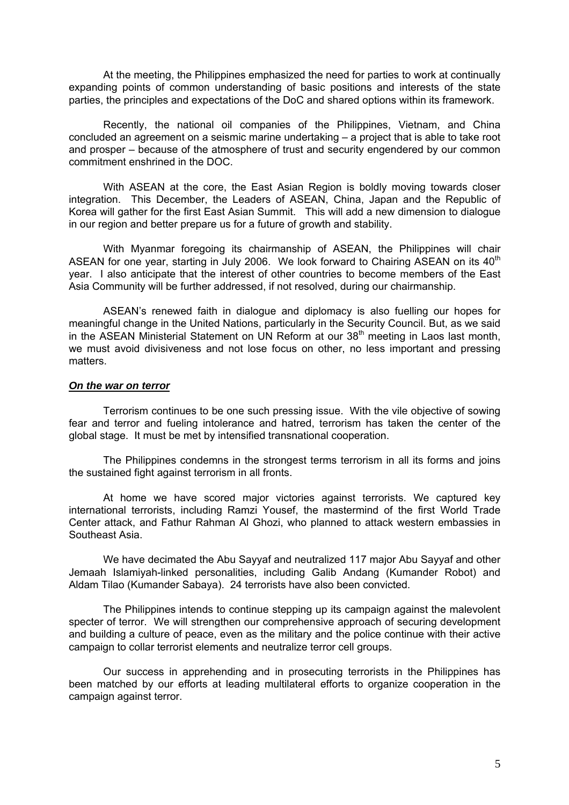At the meeting, the Philippines emphasized the need for parties to work at continually expanding points of common understanding of basic positions and interests of the state parties, the principles and expectations of the DoC and shared options within its framework.

Recently, the national oil companies of the Philippines, Vietnam, and China concluded an agreement on a seismic marine undertaking – a project that is able to take root and prosper – because of the atmosphere of trust and security engendered by our common commitment enshrined in the DOC.

With ASEAN at the core, the East Asian Region is boldly moving towards closer integration. This December, the Leaders of ASEAN, China, Japan and the Republic of Korea will gather for the first East Asian Summit. This will add a new dimension to dialogue in our region and better prepare us for a future of growth and stability.

With Myanmar foregoing its chairmanship of ASEAN, the Philippines will chair ASEAN for one year, starting in July 2006. We look forward to Chairing ASEAN on its 40<sup>th</sup> year. I also anticipate that the interest of other countries to become members of the East Asia Community will be further addressed, if not resolved, during our chairmanship.

ASEAN's renewed faith in dialogue and diplomacy is also fuelling our hopes for meaningful change in the United Nations, particularly in the Security Council. But, as we said in the ASEAN Ministerial Statement on UN Reform at our  $38<sup>th</sup>$  meeting in Laos last month, we must avoid divisiveness and not lose focus on other, no less important and pressing matters.

#### *On the war on terror*

Terrorism continues to be one such pressing issue. With the vile objective of sowing fear and terror and fueling intolerance and hatred, terrorism has taken the center of the global stage. It must be met by intensified transnational cooperation.

The Philippines condemns in the strongest terms terrorism in all its forms and joins the sustained fight against terrorism in all fronts.

At home we have scored major victories against terrorists. We captured key international terrorists, including Ramzi Yousef, the mastermind of the first World Trade Center attack, and Fathur Rahman Al Ghozi, who planned to attack western embassies in Southeast Asia.

We have decimated the Abu Sayyaf and neutralized 117 major Abu Sayyaf and other Jemaah Islamiyah-linked personalities, including Galib Andang (Kumander Robot) and Aldam Tilao (Kumander Sabaya). 24 terrorists have also been convicted.

The Philippines intends to continue stepping up its campaign against the malevolent specter of terror. We will strengthen our comprehensive approach of securing development and building a culture of peace, even as the military and the police continue with their active campaign to collar terrorist elements and neutralize terror cell groups.

Our success in apprehending and in prosecuting terrorists in the Philippines has been matched by our efforts at leading multilateral efforts to organize cooperation in the campaign against terror.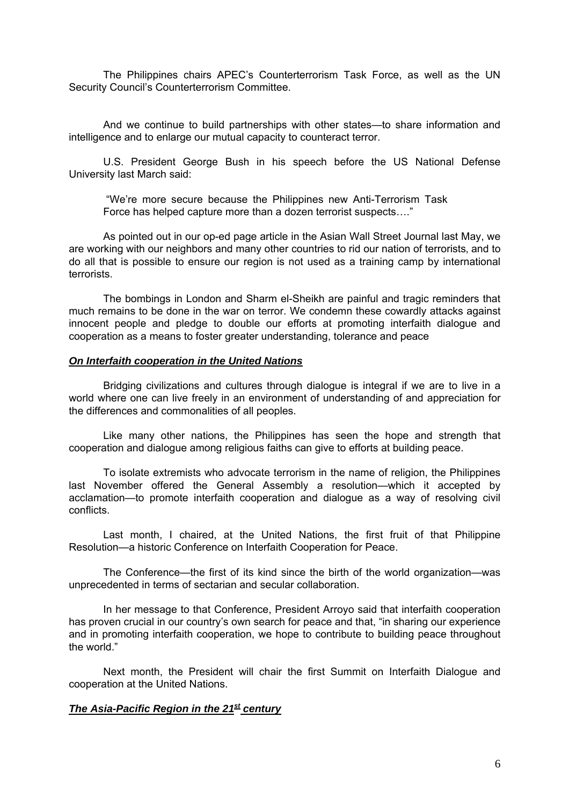The Philippines chairs APEC's Counterterrorism Task Force, as well as the UN Security Council's Counterterrorism Committee.

And we continue to build partnerships with other states—to share information and intelligence and to enlarge our mutual capacity to counteract terror.

U.S. President George Bush in his speech before the US National Defense University last March said:

"We're more secure because the Philippines new Anti-Terrorism Task Force has helped capture more than a dozen terrorist suspects…."

As pointed out in our op-ed page article in the Asian Wall Street Journal last May, we are working with our neighbors and many other countries to rid our nation of terrorists, and to do all that is possible to ensure our region is not used as a training camp by international terrorists.

The bombings in London and Sharm el-Sheikh are painful and tragic reminders that much remains to be done in the war on terror. We condemn these cowardly attacks against innocent people and pledge to double our efforts at promoting interfaith dialogue and cooperation as a means to foster greater understanding, tolerance and peace

## *On Interfaith cooperation in the United Nations*

Bridging civilizations and cultures through dialogue is integral if we are to live in a world where one can live freely in an environment of understanding of and appreciation for the differences and commonalities of all peoples.

Like many other nations, the Philippines has seen the hope and strength that cooperation and dialogue among religious faiths can give to efforts at building peace.

To isolate extremists who advocate terrorism in the name of religion, the Philippines last November offered the General Assembly a resolution—which it accepted by acclamation—to promote interfaith cooperation and dialogue as a way of resolving civil conflicts.

Last month, I chaired, at the United Nations, the first fruit of that Philippine Resolution—a historic Conference on Interfaith Cooperation for Peace.

The Conference—the first of its kind since the birth of the world organization—was unprecedented in terms of sectarian and secular collaboration.

In her message to that Conference, President Arroyo said that interfaith cooperation has proven crucial in our country's own search for peace and that, "in sharing our experience and in promoting interfaith cooperation, we hope to contribute to building peace throughout the world."

Next month, the President will chair the first Summit on Interfaith Dialogue and cooperation at the United Nations.

# *The Asia-Pacific Region in the 21st century*